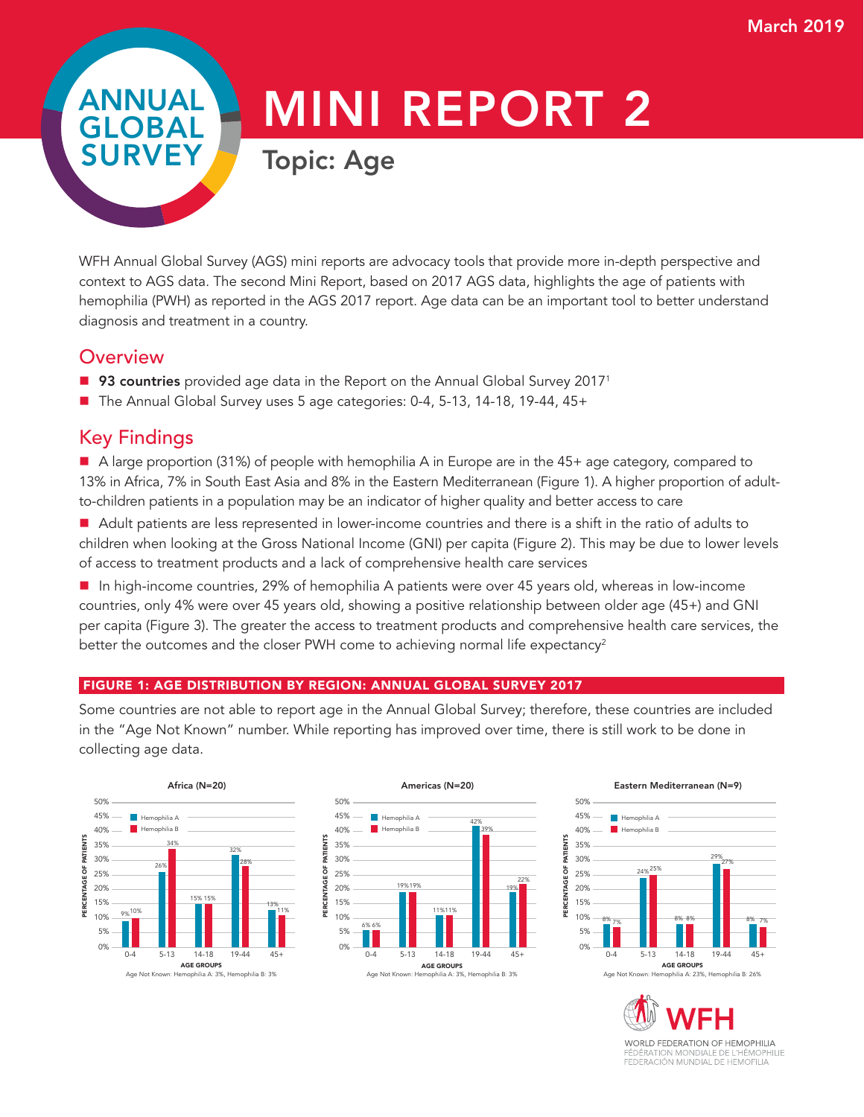ANNUAL GLOBAL SURV

# MINI REPORT 2

Topic: Age

WFH Annual Global Survey (AGS) mini reports are advocacy tools that provide more in-depth perspective and context to AGS data. The second Mini Report, based on 2017 AGS data, highlights the age of patients with hemophilia (PWH) as reported in the AGS 2017 report. Age data can be an important tool to better understand diagnosis and treatment in a country.

## **Overview**

- 93 countries provided age data in the Report on the Annual Global Survey 2017<sup>1</sup>
- The Annual Global Survey uses 5 age categories: 0-4, 5-13, 14-18, 19-44, 45+

# Key Findings

■ A large proportion (31%) of people with hemophilia A in Europe are in the 45+ age category, compared to 13% in Africa, 7% in South East Asia and 8% in the Eastern Mediterranean (Figure 1). A higher proportion of adultto-children patients in a population may be an indicator of higher quality and better access to care

Adult patients are less represented in lower-income countries and there is a shift in the ratio of adults to children when looking at the Gross National Income (GNI) per capita (Figure 2). This may be due to lower levels of access to treatment products and a lack of comprehensive health care services

■ In high-income countries, 29% of hemophilia A patients were over 45 years old, whereas in low-income countries, only 4% were over 45 years old, showing a positive relationship between older age (45+) and GNI per capita (Figure 3). The greater the access to treatment products and comprehensive health care services, the better the outcomes and the closer PWH come to achieving normal life expectancy<sup>2</sup>

### FIGURE 1: AGE DISTRIBUTION BY REGION: ANNUAL GLOBAL SURVEY 2017

Some countries are not able to report age in the Annual Global Survey; therefore, these countries are included in the "Age Not Known" number. While reporting has improved over time, there is still work to be done in collecting age data.





# Eastern Mediterranean (N=9)

50%



WORLD FEDERATION OF HEMOPHILIA FÉDÉRATION MONDIALE DE L'HÉMOPHILIE<br>FEDERACIÓN MUNDIAL DE HEMOFILIA